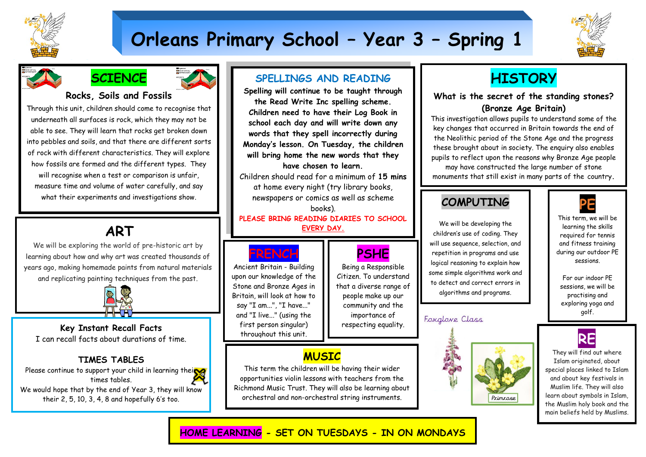

# **Orleans Primary School – Year 3 – Spring 1**





## **Rocks, Soils and Fossils**

Through this unit, children should come to recognise that underneath all surfaces is rock, which they may not be able to see. They will learn that rocks get broken down into pebbles and soils, and that there are different sorts of rock with different characteristics. They will explore how fossils are formed and the different types. They will recognise when a test or comparison is unfair, measure time and volume of water carefully, and say what their experiments and investigations show.

# **ART**

We will be exploring the world of pre-historic art by learning about how and why art was created thousands of years ago, making homemade paints from natural materials and replicating painting techniques from the past.



 I can recall facts about durations of time. **Key Instant Recall Facts**

## **TIMES TABLES**

Please continue to support your child in learning their times tables. We would hope that by the end of Year 3, they will know their 2, 5, 10, 3, 4, 8 and hopefully 6's too.

## **SPELLINGS AND READING**

**Spelling will continue to be taught through the Read Write Inc spelling scheme. Children need to have their Log Book in school each day and will write down any words that they spell incorrectly during Monday's lesson. On Tuesday, the children will bring home the new words that they have chosen to learn.**

Children should read for a minimum of **15 mins** at home every night (try library books, newspapers or comics as well as scheme books).

**PLEASE BRING READING DIARIES TO SCHOOL EVERY DAY.**

> **PSHE** Being a Responsible Citizen. To understand that a diverse range of people make up our community and the importance of respecting equality.



 Ancient Britain - Building upon our knowledge of the Stone and Bronze Ages in Britain, will look at how to say "I am...", "I have..." and "I live..." (using the first person singular) throughout this unit.

## **MUSIC**

This term the children will be having their wider opportunities violin lessons with teachers from the Richmond Music Trust. They will also be learning about orchestral and non-orchestral string instruments.

# **HISTORY**

## **What is the secret of the standing stones? (Bronze Age Britain)**

This investigation allows pupils to understand some of the key changes that occurred in Britain towards the end of the Neolithic period of the Stone Age and the progress these brought about in society. The enquiry also enables pupils to reflect upon the reasons why Bronze Age people may have constructed the large number of stone monuments that still exist in many parts of the country**.**

**Their construction is an important feature of the** 

## **Bronze Age. Why exactly were these COMPUTING**

We will be developing the children's use of coding. They will use sequence, selection, and repetition in programs and use logical reasoning to explain how some simple algorithms work and to detect and correct errors in algorithms and programs.

## Foxglove Class





This term, we will be learning the skills required for tennis and fitness training during our outdoor PE sessions.

For our indoor PE sessions, we will be practising and exploring yoga and golf.



They will find out where Islam originated, about special places linked to Islam and about key festivals in Muslim life. They will also learn about symbols in Islam, the Muslim holy book and the main beliefs held by Muslims.

**HOME LEARNING - SET ON TUESDAYS - IN ON MONDAYS**